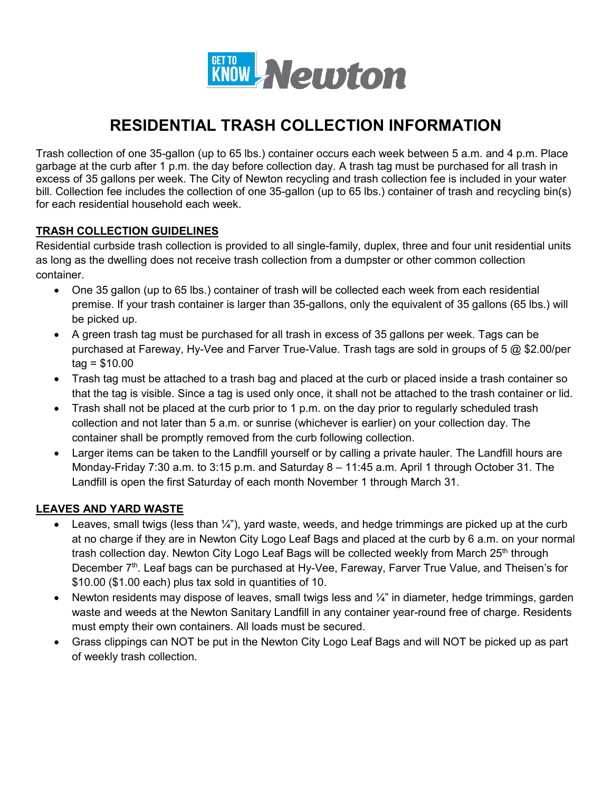

# **RESIDENTIAL TRASH COLLECTION INFORMATION**

Trash collection of one 35-gallon (up to 65 lbs.) container occurs each week between 5 a.m. and 4 p.m. Place garbage at the curb after 1 p.m. the day before collection day. A trash tag must be purchased for all trash in excess of 35 gallons per week. The City of Newton recycling and trash collection fee is included in your water bill. Collection fee includes the collection of one 35-gallon (up to 65 lbs.) container of trash and recycling bin(s) for each residential household each week.

#### **TRASH COLLECTION GUIDELINES**

Residential curbside trash collection is provided to all single-family, duplex, three and four unit residential units as long as the dwelling does not receive trash collection from a dumpster or other common collection container.

- One 35 gallon (up to 65 lbs.) container of trash will be collected each week from each residential premise. If your trash container is larger than 35-gallons, only the equivalent of 35 gallons (65 lbs.) will be picked up.
- A green trash tag must be purchased for all trash in excess of 35 gallons per week. Tags can be purchased at Fareway, Hy-Vee and Farver True-Value. Trash tags are sold in groups of 5 @ \$2.00/per  $taq = $10.00$
- Trash tag must be attached to a trash bag and placed at the curb or placed inside a trash container so that the tag is visible. Since a tag is used only once, it shall not be attached to the trash container or lid.
- Trash shall not be placed at the curb prior to 1 p.m. on the day prior to regularly scheduled trash collection and not later than 5 a.m. or sunrise (whichever is earlier) on your collection day. The container shall be promptly removed from the curb following collection.
- Larger items can be taken to the Landfill yourself or by calling a private hauler. The Landfill hours are Monday-Friday 7:30 a.m. to 3:15 p.m. and Saturday 8 – 11:45 a.m. April 1 through October 31. The Landfill is open the first Saturday of each month November 1 through March 31.

### **LEAVES AND YARD WASTE**

- Leaves, small twigs (less than  $\frac{1}{4}$ "), yard waste, weeds, and hedge trimmings are picked up at the curb at no charge if they are in Newton City Logo Leaf Bags and placed at the curb by 6 a.m. on your normal trash collection day. Newton City Logo Leaf Bags will be collected weekly from March 25<sup>th</sup> through December 7<sup>th</sup>. Leaf bags can be purchased at Hy-Vee, Fareway, Farver True Value, and Theisen's for \$10.00 (\$1.00 each) plus tax sold in quantities of 10.
- Newton residents may dispose of leaves, small twigs less and  $\frac{1}{4}$ " in diameter, hedge trimmings, garden waste and weeds at the Newton Sanitary Landfill in any container year-round free of charge. Residents must empty their own containers. All loads must be secured.
- Grass clippings can NOT be put in the Newton City Logo Leaf Bags and will NOT be picked up as part of weekly trash collection.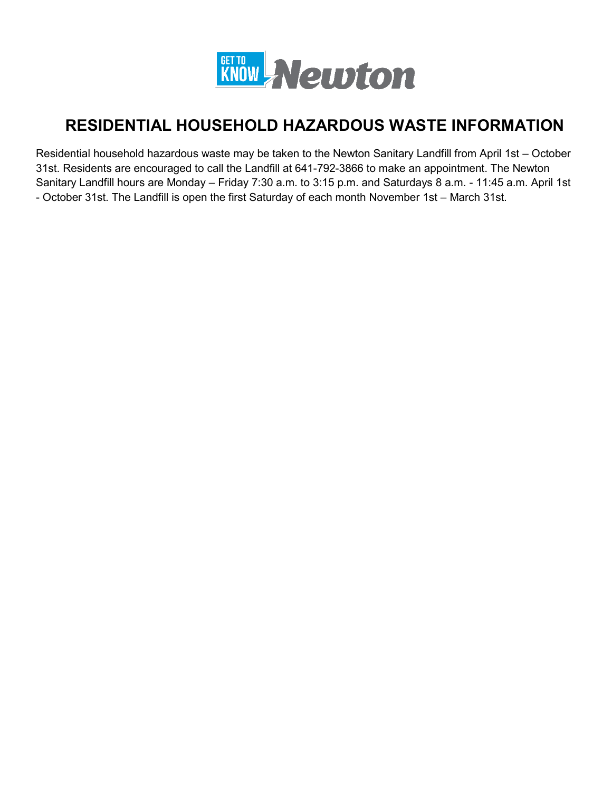

# **RESIDENTIAL HOUSEHOLD HAZARDOUS WASTE INFORMATION**

Residential household hazardous waste may be taken to the Newton Sanitary Landfill from April 1st – October 31st. Residents are encouraged to call the Landfill at 641-792-3866 to make an appointment. The Newton Sanitary Landfill hours are Monday – Friday 7:30 a.m. to 3:15 p.m. and Saturdays 8 a.m. - 11:45 a.m. April 1st - October 31st. The Landfill is open the first Saturday of each month November 1st – March 31st.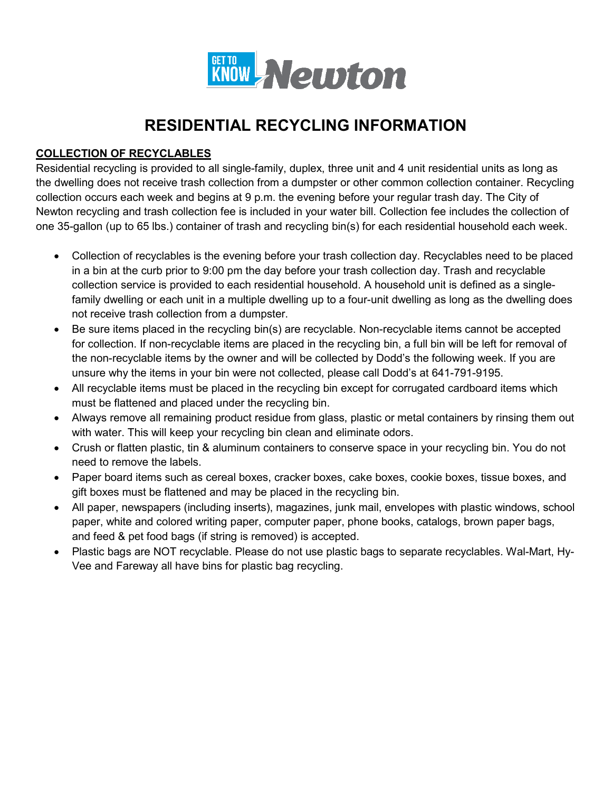

# **RESIDENTIAL RECYCLING INFORMATION**

### **COLLECTION OF RECYCLABLES**

Residential recycling is provided to all single-family, duplex, three unit and 4 unit residential units as long as the dwelling does not receive trash collection from a dumpster or other common collection container. Recycling collection occurs each week and begins at 9 p.m. the evening before your regular trash day. The City of Newton recycling and trash collection fee is included in your water bill. Collection fee includes the collection of one 35-gallon (up to 65 lbs.) container of trash and recycling bin(s) for each residential household each week.

- Collection of recyclables is the evening before your trash collection day. Recyclables need to be placed in a bin at the curb prior to 9:00 pm the day before your trash collection day. Trash and recyclable collection service is provided to each residential household. A household unit is defined as a singlefamily dwelling or each unit in a multiple dwelling up to a four-unit dwelling as long as the dwelling does not receive trash collection from a dumpster.
- Be sure items placed in the recycling bin(s) are recyclable. Non-recyclable items cannot be accepted for collection. If non-recyclable items are placed in the recycling bin, a full bin will be left for removal of the non-recyclable items by the owner and will be collected by Dodd's the following week. If you are unsure why the items in your bin were not collected, please call Dodd's at 641-791-9195.
- All recyclable items must be placed in the recycling bin except for corrugated cardboard items which must be flattened and placed under the recycling bin.
- Always remove all remaining product residue from glass, plastic or metal containers by rinsing them out with water. This will keep your recycling bin clean and eliminate odors.
- Crush or flatten plastic, tin & aluminum containers to conserve space in your recycling bin. You do not need to remove the labels.
- Paper board items such as cereal boxes, cracker boxes, cake boxes, cookie boxes, tissue boxes, and gift boxes must be flattened and may be placed in the recycling bin.
- All paper, newspapers (including inserts), magazines, junk mail, envelopes with plastic windows, school paper, white and colored writing paper, computer paper, phone books, catalogs, brown paper bags, and feed & pet food bags (if string is removed) is accepted.
- Plastic bags are NOT recyclable. Please do not use plastic bags to separate recyclables. Wal-Mart, Hy-Vee and Fareway all have bins for plastic bag recycling.